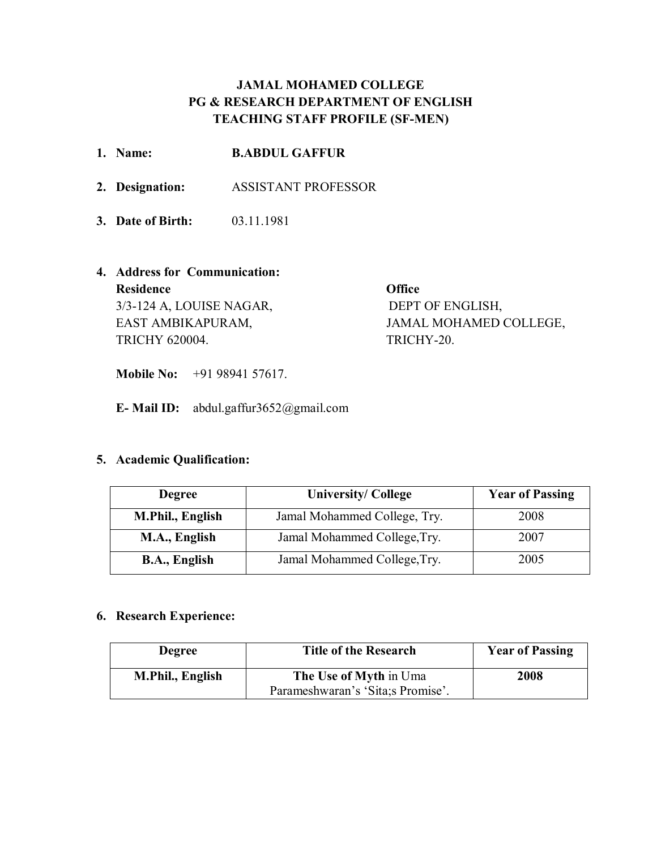# **JAMAL MOHAMED COLLEGE PG & RESEARCH DEPARTMENT OF ENGLISH TEACHING STAFF PROFILE (SF-MEN)**

| 1. Name:                      | <b>B.ABDUL GAFFUR</b>      |                        |
|-------------------------------|----------------------------|------------------------|
| 2. Designation:               | <b>ASSISTANT PROFESSOR</b> |                        |
| 3. Date of Birth:             | 03.11.1981                 |                        |
| 4. Address for Communication: |                            |                        |
| <b>Residence</b>              |                            | <b>Office</b>          |
| 3/3-124 A, LOUISE NAGAR,      |                            | DEPT OF ENGLISH,       |
| EAST AMBIKAPURAM,             |                            | JAMAL MOHAMED COLLEGE, |
| <b>TRICHY 620004.</b>         |                            | TRICHY-20.             |

**Mobile No:** +91 98941 57617.

**E- Mail ID:** abdul.gaffur3652@gmail.com

# **5. Academic Qualification:**

| <b>Degree</b>        | <b>University/College</b>    |      |
|----------------------|------------------------------|------|
| M.Phil., English     | Jamal Mohammed College, Try. | 2008 |
| M.A., English        | Jamal Mohammed College, Try. | 2007 |
| <b>B.A., English</b> | Jamal Mohammed College, Try. | 2005 |

# **6. Research Experience:**

| <b>Degree</b>    | <b>Title of the Research</b>       | <b>Year of Passing</b> |
|------------------|------------------------------------|------------------------|
| M.Phil., English | The Use of Myth in Uma             | 2008                   |
|                  | Parameshwaran's 'Sita; s Promise'. |                        |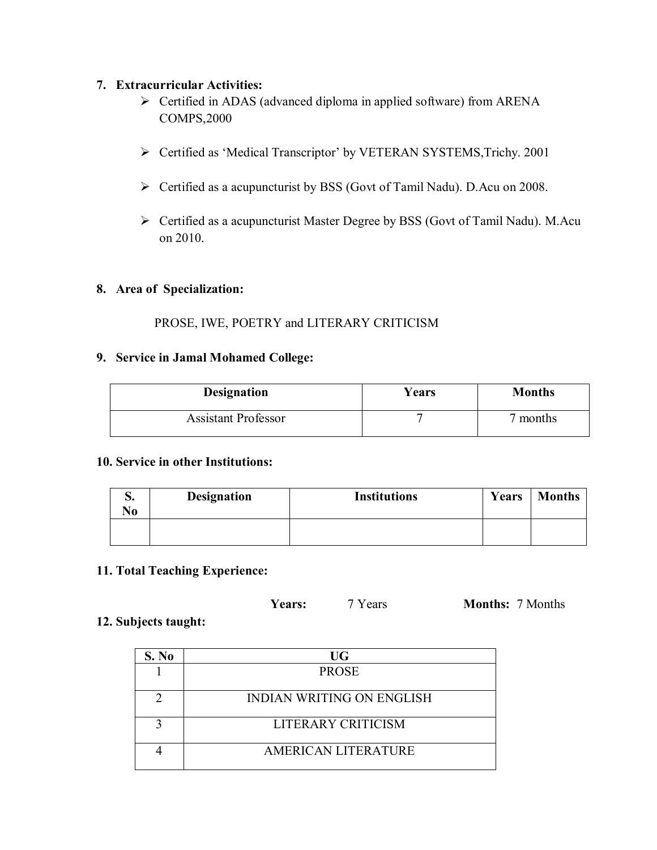### **7. Extracurricular Activities:**

- Certified in ADAS (advanced diploma in applied software) from ARENA COMPS,2000
- Certified as 'Medical Transcriptor' by VETERAN SYSTEMS,Trichy. 2001
- Certified as a acupuncturist by BSS (Govt of Tamil Nadu). D.Acu on 2008.
- Certified as a acupuncturist Master Degree by BSS (Govt of Tamil Nadu). M.Acu on 2010.

# **8. Area of Specialization:**

# PROSE, IWE, POETRY and LITERARY CRITICISM

#### **9. Service in Jamal Mohamed College:**

| <b>Designation</b>         | Years | <b>Months</b> |
|----------------------------|-------|---------------|
| <b>Assistant Professor</b> |       | months        |

### **10. Service in other Institutions:**

| p.<br>No | <b>Designation</b> | <b>Institutions</b> | Years | <b>Months</b> |
|----------|--------------------|---------------------|-------|---------------|
|          |                    |                     |       |               |

### **11. Total Teaching Experience:**

| <b>Years:</b> | 7 Years | <b>Months: 7 Months</b> |
|---------------|---------|-------------------------|
|               |         |                         |

#### **12. Subjects taught:**

| S. No | UG                               |
|-------|----------------------------------|
|       | <b>PROSE</b>                     |
|       | <b>INDIAN WRITING ON ENGLISH</b> |
|       | LITERARY CRITICISM               |
|       | <b>AMERICAN LITERATURE</b>       |